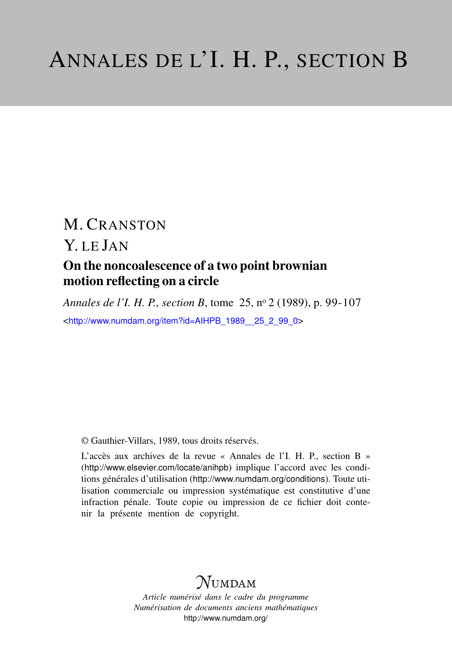# M. CRANSTON

### Y. LE JAN On the noncoalescence of a two point brownian motion reflecting on a circle

*Annales de l'I. H. P., section B*, tome 25, n<sup>o</sup> 2 (1989), p. 99-107 <[http://www.numdam.org/item?id=AIHPB\\_1989\\_\\_25\\_2\\_99\\_0](http://www.numdam.org/item?id=AIHPB_1989__25_2_99_0)>

© Gauthier-Villars, 1989, tous droits réservés.

L'accès aux archives de la revue « Annales de l'I. H. P., section B » (<http://www.elsevier.com/locate/anihpb>) implique l'accord avec les conditions générales d'utilisation (<http://www.numdam.org/conditions>). Toute utilisation commerciale ou impression systématique est constitutive d'une infraction pénale. Toute copie ou impression de ce fichier doit contenir la présente mention de copyright.

## $N$ UMDAM

*Article numérisé dans le cadre du programme Numérisation de documents anciens mathématiques* <http://www.numdam.org/>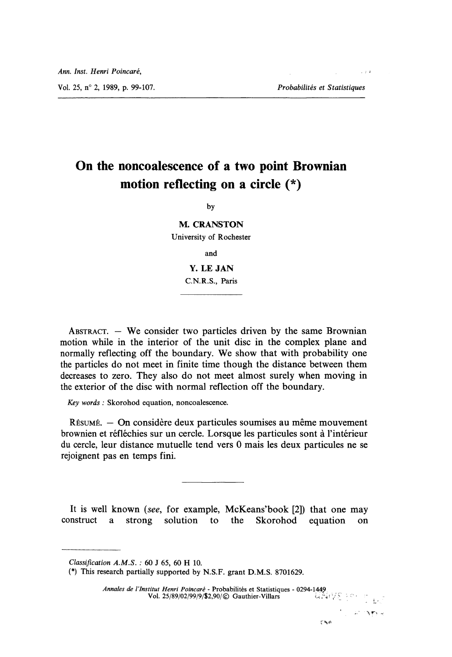Vol. 25, n° 2, 1989, p. 99-107. Probabilités et Statistiques

 $\sim$  1.4

### On the noncoalescence of a two point Brownian motion reflecting on a circle (\*)

by

M. CRANSTON University of Rochester

and

Y. LE JAN C.N.R.S., Paris

ABSTRACT.  $-$  We consider two particles driven by the same Brownian motion while in the interior of the unit disc in the complex plane and normally reflecting off the boundary. We show that with probability one the particles do not meet in finite time though the distance between them decreases to zero. They also do not meet almost surely when moving in the exterior of the disc with normal reflection off the boundary.

Key words : Skorohod equation, noncoalescence.

RESUME. - On considère deux particules soumises au même mouvement brownien et réfléchies sur un cercle. Lorsque les particules sont à l'intérieur du cercle, leur distance mutuelle tend vers 0 mais les deux particules ne se rejoignent pas en temps fini.

It is well known (see, for example, McKeans'book [2]) that one may construct a strong solution to the Skorohod equation on a strong solution to the Skorohod equation on

Annales de l'Institut Henri Poincaré - Probabilités et Statistiques - 0294-1449.<br>Vol. 25/89/02/99/9/\$2,90/© Gauthier-Villars Vol.  $25/89/02/99/9/\$2,90/©$  Gauthier-Villars

可以解决

Classification A.M.S. : 60 J 65, 60 H 10.

<sup>(\*)</sup> This research partially supported by N. S. F. grant D.M.S. 8701629.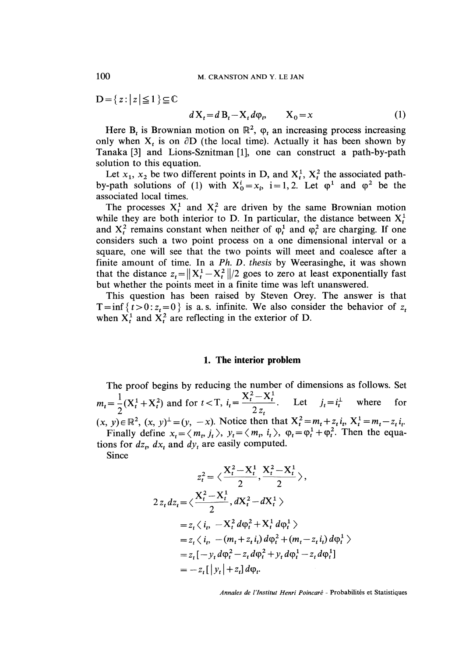$D = \{ z : |z| \leq 1 \} \subseteq \mathbb{C}$ 

$$
dX_t = d\mathbf{B}_t - X_t d\varphi_t, \qquad X_0 = x \tag{1}
$$

Here  $B_t$  is Brownian motion on  $\mathbb{R}^2$ ,  $\varphi_t$  an increasing process increasing only when  $X_t$  is on  $\partial D$  (the local time). Actually it has been shown by Tanaka [3] and Lions-Sznitman [1], one can construct a path-by-path solution to this equation.

Let  $x_1$ ,  $x_2$  be two different points in D, and  $X_t^1$ ,  $X_t^2$  the associated pathby-path solutions of (1) with  $X_0^1 = x_i$ , i = 1, 2. Let  $\varphi^1$  and  $\varphi^2$  be the associated local times.

The processes  $X_t^1$  and  $X_t^2$  are driven by the same Brownian motion while they are both interior to D. In particular, the distance between  $X_t^1$ and  $X_t^2$  remains constant when neither of  $\varphi_t^1$  and  $\varphi_t^2$  are charging. If one considers such a two point process on a one dimensional interval or a square, one will see that the two points will meet and coalesce after a finite amount of time. In a Ph. D. thesis by Weerasinghe, it was shown that the distance  $z_t = ||X_t^1 - X_t^2||/2$  goes to zero at least exponentially fast but whether the points meet in a finite time was left unanswered.

This question has been raised by Steven Orey. The answer is that T = inf { $t > 0$  :  $z_t = 0$ } is a.s. infinite. We also consider the behavior of  $z_t$ when  $X_t^1$  and  $X_t^2$  are reflecting in the exterior of D.

#### 1. The interior problem

The proof begins by reducing the number of dimensions as follows. Set The proof begins by rounding the  $m_t = \frac{1}{2}(X_t^1 + X_t^2)$  and for  $t < T$ ,  $i_t = \frac{X_t^2 - X_t^1}{2z_t}$ . Let  $j_t = i_t^{\perp}$  where for  $(x, y) \in \mathbb{R}^2$ ,  $(x, y)^{\perp} = (y, -x)$ . Notice then that  $X_t^2 = m_t + z_t i_t$ ,  $X_t^1 = m_t - z_t i_t$ . Finally define  $x_t = \langle m_t, j_t \rangle$ ,  $y_t = \langle m_t, i_t \rangle$ ,  $\varphi_t = \varphi_t^1 + \varphi_t^2$ . Then the equations for  $dz_t$ ,  $dx_t$  and  $dy_t$  are easily computed.

Since

$$
z_t^2 = \langle \frac{X_t^2 - X_t^1}{2}, \frac{X_t^2 - X_t^1}{2} \rangle,
$$
  
\n
$$
2 z_t dz_t = \langle \frac{X_t^2 - X_t^1}{2}, dX_t^2 - dX_t^1 \rangle
$$
  
\n
$$
= z_t \langle i_t, -X_t^2 d\varphi_t^2 + X_t^1 d\varphi_t^1 \rangle
$$
  
\n
$$
= z_t \langle i_t, -(m_t + z_t i_t) d\varphi_t^2 + (m_t - z_t i_t) d\varphi_t^1 \rangle
$$
  
\n
$$
= z_t [-y_t d\varphi_t^2 - z_t d\varphi_t^2 + y_t d\varphi_t^1 - z_t d\varphi_t^1]
$$
  
\n
$$
= -z_t [|y_t| + z_t] d\varphi_t.
$$

Annales de l'Institut Henri Poincaré - Probabilités et Statistiques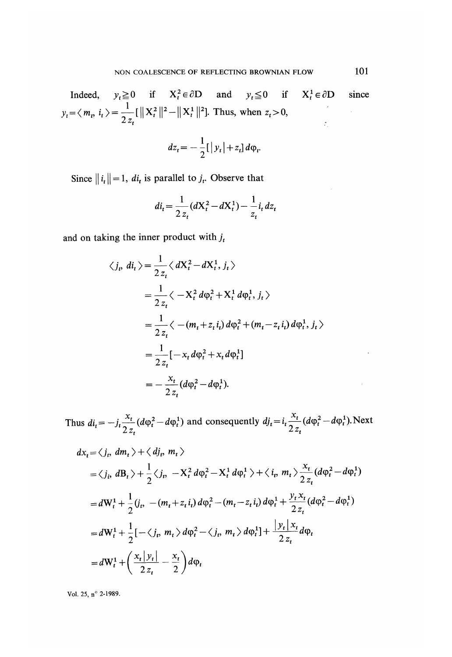Indeed,  $y_t \ge 0$  if  $X_t^2 \in \partial D$  and  $y_t \le 0$  if  $X_t^1 \in \partial D$  since  $\langle m_t, i_t \rangle = \frac{1}{2 z_t} [\|X_t^2\|^2 - \|X_t^1\|^2]$ . Thus, when  $z_t > 0$ ,

$$
dz_t = -\frac{1}{2} [\,|y_t| + z_t] \, d\varphi_t
$$

Since  $||i_t|| = 1$ ,  $di_t$  is parallel to  $j_t$ . Observe that

$$
di_t = \frac{1}{2z_t}(dX_t^2 - dX_t^1) - \frac{1}{z_t}i_t dz_t
$$

and on taking the inner product with  $j_t$ 

$$
\langle j_t, di_t \rangle = \frac{1}{2 z_t} \langle dX_t^2 - dX_t^1, j_t \rangle
$$
  
=  $\frac{1}{2 z_t} \langle -X_t^2 d\varphi_t^2 + X_t^1 d\varphi_t^1, j_t \rangle$   
=  $\frac{1}{2 z_t} \langle -(m_t + z_t i_t) d\varphi_t^2 + (m_t - z_t i_t) d\varphi_t^1, j_t \rangle$   
=  $\frac{1}{2 z_t} [-x_t d\varphi_t^2 + x_t d\varphi_t^1]$   
=  $-\frac{x_t}{2 z_t} (d\varphi_t^2 - d\varphi_t^1).$ 

Thus  $di_t = -j_t \frac{x_t}{2z_t} (d\varphi_t^2 - d\varphi_t^1)$  and consequently  $dj_t = i_t \frac{x_t}{2z_t} (d\varphi_t^2 - d\varphi_t^1)$ . Next

$$
dx_t = \langle j_t, dm_t \rangle + \langle dj_t, m_t \rangle
$$
  
\n
$$
= \langle j_t, dB_t \rangle + \frac{1}{2} \langle j_t, -X_t^2 d\varphi_t^2 - X_t^1 d\varphi_t^1 \rangle + \langle i_t, m_t \rangle \frac{x_t}{2z_t} (d\varphi_t^2 - d\varphi_t^1)
$$
  
\n
$$
= dW_t^1 + \frac{1}{2} (j_t, -(m_t + z_t i_t) d\varphi_t^2 - (m_t - z_t i_t) d\varphi_t^1 + \frac{y_t x_t}{2z_t} (d\varphi_t^2 - d\varphi_t^1)
$$
  
\n
$$
= dW_t^1 + \frac{1}{2} [-\langle j_t, m_t \rangle d\varphi_t^2 - \langle j_t, m_t \rangle d\varphi_t^1] + \frac{|y_t| x_t}{2z_t} d\varphi_t
$$
  
\n
$$
= dW_t^1 + \left( \frac{x_t |y_t|}{2z_t} - \frac{x_t}{2} \right) d\varphi_t
$$

Vol. 25, n° 2-1989.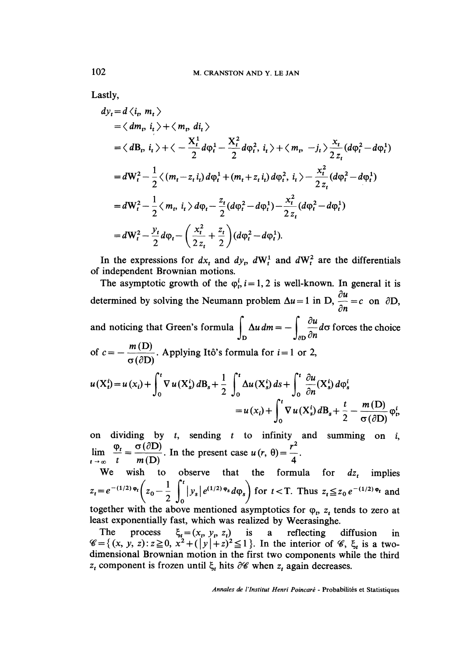Lastly,

$$
dy_{t} = d \langle i_{t}, m_{t} \rangle
$$
  
\n
$$
= \langle dm_{t}, i_{t} \rangle + \langle m_{t}, d_{t} \rangle
$$
  
\n
$$
= \langle dB_{t}, i_{t} \rangle + \langle -\frac{X_{t}^{1}}{2} d\phi_{t}^{1} - \frac{X_{t}^{2}}{2} d\phi_{t}^{2}, i_{t} \rangle + \langle m_{t}, -j_{t} \rangle \frac{x_{t}}{2 z_{t}} (d\phi_{t}^{2} - d\phi_{t}^{1})
$$
  
\n
$$
= dW_{t}^{2} - \frac{1}{2} \langle (m_{t} - z_{t} i_{t}) d\phi_{t}^{1} + (m_{t} + z_{t} i_{t}) d\phi_{t}^{2}, i_{t} \rangle - \frac{x_{t}^{2}}{2 z_{t}} (d\phi_{t}^{2} - d\phi_{t}^{1})
$$
  
\n
$$
= dW_{t}^{2} - \frac{1}{2} \langle m_{t}, i_{t} \rangle d\phi_{t} - \frac{z_{t}}{2} (d\phi_{t}^{2} - d\phi_{t}^{1}) - \frac{x_{t}^{2}}{2 z_{t}} (d\phi_{t}^{2} - d\phi_{t}^{1})
$$
  
\n
$$
= dW_{t}^{2} - \frac{y_{t}}{2} d\phi_{t} - \left(\frac{x_{t}^{2}}{2 z_{t}} + \frac{z_{t}}{2}\right) (d\phi_{t}^{2} - d\phi_{t}^{1}).
$$

In the expressions for  $dx_t$  and  $dy_t$ ,  $dW_t^1$  and  $dW_t^2$  are the differentials of independent Brownian motions.

The asymptotic growth of the  $\varphi_n^i$ ,  $i = 1, 2$  is well-known. In general it is determined by solving the Neumann problem  $\Delta u = 1$  in D,  $\frac{\partial u}{\partial n} = c$  on  $\partial D$ , and noticing that Green's formula  $\int_{\Gamma} \Delta u \, dm = -\int_{\Gamma} \frac{\partial u}{\partial n} d\sigma$  forces the choice of  $c = -\frac{m(D)}{g(\partial D)}$ . Applying Itô's formula for  $i = 1$  or 2,  $u(X_i^i) = u(x_i) + \int_0^t \nabla u(X_s^i) dB_s + \frac{1}{2} \int_0^t \Delta u(X_s^i) ds + \int_0^t \frac{\partial u}{\partial n}(X_s^i) d\varphi_s^i$  $= u(x_i) + \int_0^t \nabla u(X_s^i) dB_s + \frac{t}{2} - \frac{m(D)}{\sigma(\partial D)} \varphi_v^i$ 

on dividing by  $t$ , sending  $t$  to infinity and summing on  $i$ ,  $\lim_{t \to \infty} \frac{\varphi_t}{t} = \frac{\sigma(\partial D)}{m(D)}$ . In the present case  $u(r, \theta) = \frac{r^2}{4}$ .

We wish to observe that the formula for  $dz_t$  implies  $z_t = e^{-(1/2)\Phi_t} \left( z_0 - \frac{1}{2} \int_0^t |y_s| e^{(1/2)\Phi_s} d\phi_s \right)$  for  $t < T$ . Thus  $z_t \le z_0 e^{-(1/2)\Phi_t}$  and together with the above mentioned asymptotics for  $\varphi$ <sub>p</sub>,  $z$ <sub>t</sub> tends to zero at

least exponentially fast, which was realized by Weerasinghe.

The process  $\xi_t = (x_t, y_t, z_t)$  is a reflecting diffusion in  $\mathscr{C}=\{(x, y, z): z\geq 0, x^2+(|y|+z)^2\leq 1\}$ . In the interior of  $\mathscr{C}$ ,  $\xi_t$  is a twodimensional Brownian motion in the first two components while the third  $z_t$  component is frozen until  $\xi_t$  hits  $\partial\mathscr{C}$  when  $z_t$  again decreases.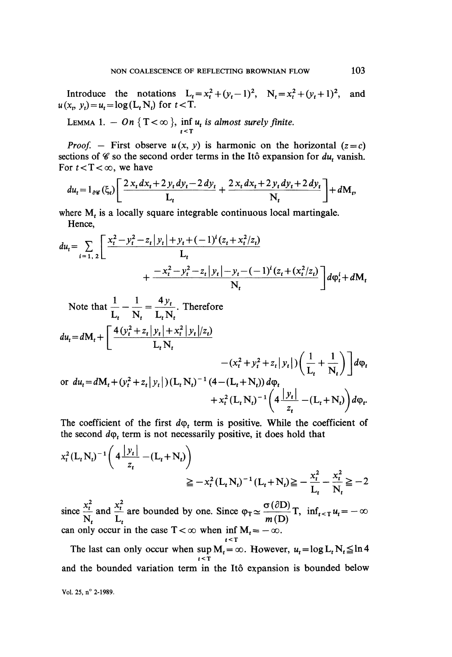Introduce the notations  $L_t = x_t^2 + (y_t - 1)^2$ ,  $N_t = x_t^2 + (y_t + 1)^2$ , and  $u(x_t, y_t) = u_t = \log(L_t N_t)$  for  $t < T$ .

LEMMA 1. 
$$
- On \{T < \infty \}
$$
,  $\inf_{t \leq T} u_t$  is almost surely finite.

*Proof.* – First observe  $u(x, y)$  is harmonic on the horizontal  $(z = c)$ sections of  $\mathscr C$  so the second order terms in the Itô expansion for  $du_t$  vanish. For  $t < T < \infty$ , we have

$$
du_{t} = 1_{\partial \mathscr{C}}(\xi_{t}) \left[ \frac{2 x_{t} dx_{t} + 2 y_{t} dy_{t} - 2 dy_{t}}{L_{t}} + \frac{2 x_{t} dx_{t} + 2 y_{t} dy_{t} + 2 dy_{t}}{N_{t}} \right] + dM_{t},
$$

where  $M_t$  is a locally square integrable continuous local martingale. Hence,

$$
du_{t} = \sum_{i=1, 2} \left[ \frac{x_{t}^{2} - y_{t}^{2} - z_{t} | y_{t} | + y_{t} + (-1)^{i} (z_{t} + x_{t}^{2} / z_{t})}{L_{t}} + \frac{-x_{t}^{2} - y_{t}^{2} - z_{t} | y_{t} | - y_{t} - (-1)^{i} (z_{t} + (x_{t}^{2} / z_{t})}{N_{t}} \right] d\varphi_{t}^{i} + dM_{t}
$$

Note that 
$$
\frac{1}{L_t} - \frac{1}{N_t} = \frac{4y_t}{L_t N_t}
$$
. Therefore  
\n
$$
du_t = dM_t + \left[ \frac{4(y_t^2 + z_t | y_t | + x_t^2 | y_t | / z_t)}{L_t N_t} - (x_t^2 + y_t^2 + z_t | y_t |) \left( \frac{1}{L_t} + \frac{1}{N_t} \right) \right] d\varphi_t
$$
\nor  $du_t = dM_t + (y_t^2 + z_t | y_t |) (L_t N_t)^{-1} (4 - (L_t + N_t)) d\varphi_t + x_t^2 (L_t N_t)^{-1} \left( 4 \frac{|y_t|}{z_t} - (L_t + N_t) \right) d\varphi_t$ 

The coefficient of the first  $d\varphi_t$  term is positive. While the coefficient of the second  $d\varphi_t$  term is not necessarily positive, it does hold that

$$
x_t^2 (L_t N_t)^{-1} \left( 4 \frac{|y_t|}{z_t} - (L_t + N_t) \right)
$$
  

$$
\geq -x_t^2 (L_t N_t)^{-1} (L_t + N_t) \geq -\frac{x_t^2}{L_t} - \frac{x_t^2}{N_t} \geq -2
$$

since  $\frac{x_t^2}{N_t}$  and  $\frac{x_t^2}{L_t}$  are bounded by one. Since  $\varphi_T \simeq \frac{\sigma(\partial D)}{m(D)}T$ ,  $\inf_{t \le T} u_t = -\infty$ can only occur in the case  $T < \infty$  when inf  $M_t = -\infty$ .  $t \leq T$ 

The last can only occur when  $\sup_{t \leq T} M_t = \infty$ . However,  $u_t = \log L_t N_t \leq \ln 4$ and the bounded variation term in the Itô expansion is bounded below Vol. 25, n° 2-1989.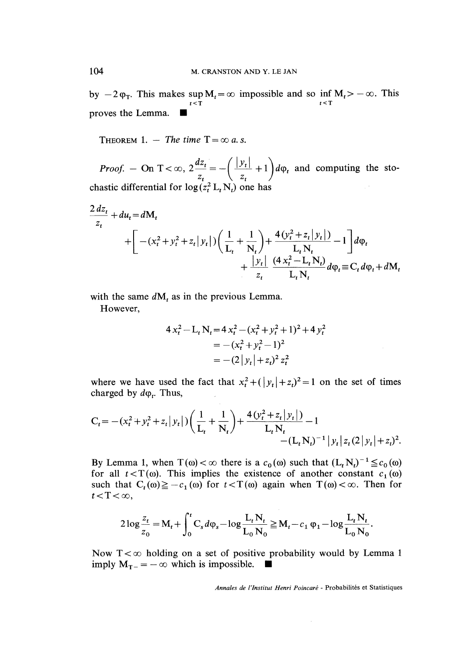This makes  $\sup_{t \leq T} M_t = \infty$  impossible and so inf  $M_t > -\infty$ . This proves the Lemma..

THEOREM 1. - The time  $T = \infty$  a.s.

*Proof.* – On T <  $\infty$ ,  $2\frac{2at}{z_t} = -\left(\frac{|Jt|}{z_t} + 1\right)d\varphi_t$  and computing the stochastic differential for  $\log(z_t^2 L_t N_t)$  one has

$$
\frac{2 dz_t}{z_t} + du_t = dM_t
$$
  
+  $\left[ -(x_t^2 + y_t^2 + z_t |y_t|) \left( \frac{1}{L_t} + \frac{1}{N_t} \right) + \frac{4 (y_t^2 + z_t |y_t|)}{L_t N_t} - 1 \right] d\varphi_t$   
+  $\frac{|y_t|}{z_t} \frac{(4 x_t^2 - L_t N_t)}{L_t N_t} d\varphi_t \equiv C_t d\varphi_t + dM_t$ 

with the same  $dM_t$  as in the previous Lemma.

However,

$$
4 x_t^2 - L_t N_t = 4 x_t^2 - (x_t^2 + y_t^2 + 1)^2 + 4 y_t^2
$$
  
= - (x\_t^2 + y\_t^2 - 1)^2  
= -(2 |y\_t| + z\_t)^2 z\_t^2

where we have used the fact that  $x_i^2 + (y_i + z_i)^2 = 1$  on the set of times charged by  $d\varphi_t$ . Thus,

$$
C_t = -(x_t^2 + y_t^2 + z_t |y_t|) \left( \frac{1}{L_t} + \frac{1}{N_t} \right) + \frac{4(y_t^2 + z_t |y_t|)}{L_t N_t} - (L_t N_t)^{-1} |y_t| z_t (2 |y_t| + z_t)^2.
$$

By Lemma 1, when  $T(\omega) < \infty$  there is a  $c_0(\omega)$  such that  $(L_t N_t)^{-1} \leq c_0(\omega)$ for all  $t < T(\omega)$ . This implies the existence of another constant  $c_1(\omega)$ such that  $C_t(\omega) \geq -c_1(\omega)$  for  $t < T(\omega)$  again when  $T(\omega) < \infty$ . Then for  $t < T < \infty$ ,

$$
2\log\frac{z_t}{z_0} = \mathbf{M}_t + \int_0^t \mathbf{C}_s d\varphi_s - \log\frac{\mathbf{L}_t \mathbf{N}_t}{\mathbf{L}_0 \mathbf{N}_0} \geq \mathbf{M}_t - c_1 \varphi_1 - \log\frac{\mathbf{L}_t \mathbf{N}_t}{\mathbf{L}_0 \mathbf{N}_0}.
$$

Now  $T < \infty$  holding on a set of positive probability would by Lemma 1 imply  $M_{T-} = -\infty$  which is impossible.  $\blacksquare$ 

Annales de I'Institut Henri Poincaré - Probabilités et Statistiques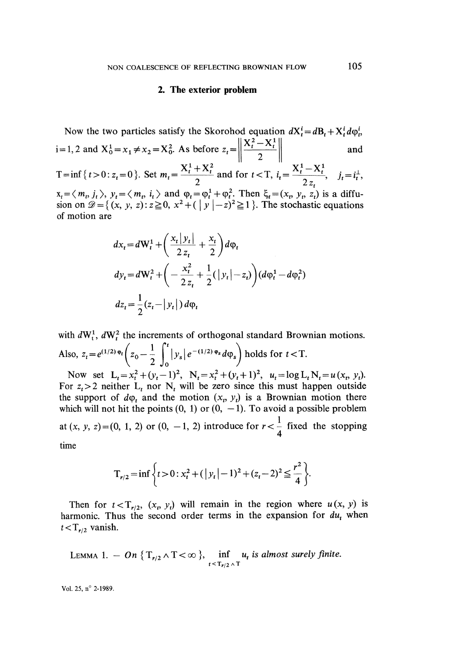### 2. The exterior problem

Now the two particles satisfy the Skorohod equation 
$$
dX_t^i = dB_t + X_t^i d\varphi_t^i
$$
,  
\ni=1, 2 and  $X_0^1 = x_1 \neq x_2 = X_0^2$ . As before  $z_t = \left\| \frac{X_t^2 - X_t^1}{2} \right\|$  and  
\n $T = \inf \{ t > 0 : z_t = 0 \}$ . Set  $m_t = \frac{X_t^1 + X_t^2}{2}$  and for  $t < T$ ,  $i_t = \frac{X_t^1 - X_t^1}{2z_t}$ ,  $j_t = i_t^1$ ,  
\n $x_t = \langle m_t, j_t \rangle$ ,  $y_t = \langle m_t, i_t \rangle$  and  $\varphi_t = \varphi_t^1 + \varphi_t^2$ . Then  $\xi_t = (x_t, y_t, z_t)$  is a diffu-  
\nsion on  $\mathcal{D} = \{(x, y, z) : z \ge 0, x^2 + (\vert y \vert - z)^2 \ge 1 \}$ . The stochastic equations  
\nof motion are

$$
dx_t = dW_t^1 + \left(\frac{x_t |y_t|}{2 z_t} + \frac{x_t}{2}\right) d\varphi_t
$$
  
\n
$$
dy_t = dW_t^2 + \left(-\frac{x_t^2}{2 z_t} + \frac{1}{2}(|y_t| - z_t)\right) (d\varphi_t^1 - d\varphi_t^2)
$$
  
\n
$$
dz_t = \frac{1}{2} (z_t - |y_t|) d\varphi_t
$$

with  $dW_t^1$ ,  $dW_t^2$  the increments of orthogonal standard Brownian motions. Also,  $z_t = e^{(1/2) \Phi_t} \left( z_0 - \frac{1}{2} \int_0^t |y_s| e^{-(1/2) \Phi_s} d\phi_s \right)$  holds for  $t < T$ .

Now set  $L_t = x_t^2 + (y_t - 1)^2$ ,  $N_t = x_t^2 + (y_t + 1)^2$ ,  $u_t = \log L_t N_t = u(x_t, y_t)$ . For  $z_t > 2$  neither  $L_t$  nor  $N_t$  will be zero since this must happen outside the support of  $d\varphi_t$  and the motion  $(x_t, y_t)$  is a Brownian motion there which will not hit the points  $(0, 1)$  or  $(0, -1)$ . To avoid a possible problem at  $(x, y, z) = (0, 1, 2)$  or  $(0, -1, 2)$  introduce for  $r < \frac{1}{4}$  fixed the stopping time

$$
T_{r/2} = \inf \left\{ t > 0 : x_t^2 + (|y_t| - 1)^2 + (z_t - 2)^2 \le \frac{r^2}{4} \right\}.
$$

Then for  $t < T_{r/2}$ ,  $(x_t, y_t)$  will remain in the region where  $u(x, y)$  is harmonic. Thus the second order terms in the expansion for  $du_t$ , when  $t < T_{r/2}$  vanish.

LEMMA 1. 
$$
- On \{T_{r/2} \wedge T < \infty \}, \inf_{t \le T_{r/2} \wedge T} u_t \text{ is almost surely finite.}
$$

Vol. 25, n° 2-1989.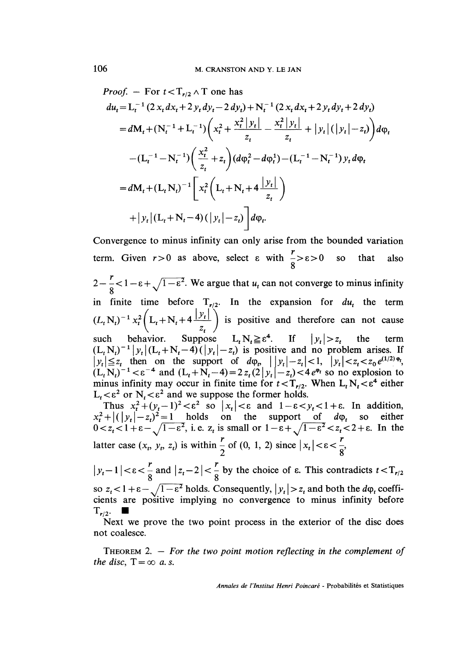*Proof.* – For  $t < T_{r/2} \wedge T$  one has

$$
du_{t} = L_{t}^{-1} (2 x_{t} dx_{t} + 2 y_{t} dy_{t} - 2 dy_{t}) + N_{t}^{-1} (2 x_{t} dx_{t} + 2 y_{t} dy_{t} + 2 dy_{t})
$$
  
\n
$$
= dM_{t} + (N_{t}^{-1} + L_{t}^{-1}) \left( x_{t}^{2} + \frac{x_{t}^{2} |y_{t}|}{z_{t}} - \frac{x_{t}^{2} |y_{t}|}{z_{t}} + |y_{t}| (|y_{t}| - z_{t}) \right) d\varphi_{t}
$$
  
\n
$$
- (L_{t}^{-1} - N_{t}^{-1}) \left( \frac{x_{t}^{2}}{z_{t}} + z_{t} \right) (d\varphi_{t}^{2} - d\varphi_{t}^{1}) - (L_{t}^{-1} - N_{t}^{-1}) y_{t} d\varphi_{t}
$$
  
\n
$$
= dM_{t} + (L_{t} N_{t})^{-1} \left[ x_{t}^{2} \left( L_{t} + N_{t} + 4 \frac{|y_{t}|}{z_{t}} \right) \right]
$$
  
\n
$$
+ |y_{t}| (L_{t} + N_{t} - 4) (|y_{t}| - z_{t}) \right] d\varphi_{t}.
$$

Convergence to minus infinity can only arise from the bounded variation term. Given  $r > 0$  as above, select  $\varepsilon$  with  $\frac{1}{8} > \varepsilon > 0$  so that also  $2 - \frac{r}{8} < 1 - \epsilon + \sqrt{1 - \epsilon^2}$ . We argue that  $u_t$  can not converge to minus infinity in finite time before  $T_{r/2}$ . In the expansion for  $du_t$  the term  $(L_tN_t)^{-1} x_t^2 (L_t+N_t+4\frac{1}{t}$  is positive and therefore can not cause such behavior. Suppose  $L_t N_t \geq \varepsilon^*$ . If  $|y_t| > z_t$  the term is positive and no problem arises. If then on the support of  $d\varphi_p \mid |y_t| - z_t| < 1, \quad |y_t| < z_t < z_0 e^{(1/2)\varphi_t}$  $(L_tN_t)^{-1} < \varepsilon^{-4}$  and  $(L_t+N_t-4)=2 z_t (2|y_t|-z_t) < 4 e^{\phi_t}$  so no explosion to minus infinity may occur in finite time for  $t < T_{r/2}$ . When  $L_t N_t < \varepsilon^4$  either  $L_t < \varepsilon^2$  or  $N_t < \varepsilon^2$  and we suppose the former holds. Thus  $x_t^2 + (y_t - 1)^2 < \varepsilon^2$  so  $|x_t| < \varepsilon$  and  $1 - \varepsilon < y_t < 1 + \varepsilon$ . In addition,  $(|y_t| - z_t)^2 = 1$  holds on the support of  $d\varphi_t$  so either  $1 + \varepsilon - \sqrt{1-\varepsilon^2}$ , i.e.  $z_t$  is small or  $1-\varepsilon + \sqrt{1-\varepsilon^2} < z_t < 2+\varepsilon$ . In the latter case  $(x_t, y_t, z_t)$  is within  $\frac{r}{2}$  of  $(0, 1, 2)$  since  $|x_t| < \varepsilon < \frac{r}{8}$ ,  $|y_t-1| < \varepsilon < \frac{r}{8}$  and  $|z_t-2| < \frac{r}{8}$  by the choice of  $\varepsilon$ . This contradicts  $t < T_{r/2}$ 

so  $z_t < 1 + \varepsilon - \sqrt{1-\varepsilon^2}$  holds. Consequently,  $|y_t| > z_t$  and both the  $d\varphi_t$  coefficients are positive implying no convergence to minus infinity before 1  $T_{r/2}$ .

Next we prove the two point process in the exterior of the disc does not coalesce.

THEOREM 2.  $-$  For the two point motion reflecting in the complement of the disc,  $T = \infty$  a.s.

Annales de l'Institut Henri Poincaré - Probabilités et Statistiques